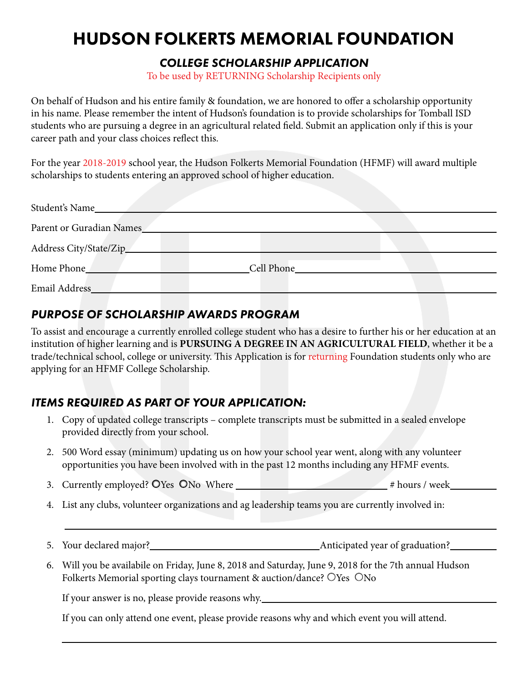# HUDSON FOLKERTS MEMORIAL FOUNDATION

#### *COLLEGE SCHOLARSHIP APPLICATION*

To be used by RETURNING Scholarship Recipients only

On behalf of Hudson and his entire family & foundation, we are honored to offer a scholarship opportunity in his name. Please remember the intent of Hudson's foundation is to provide scholarships for Tomball ISD students who are pursuing a degree in an agricultural related field. Submit an application only if this is your career path and your class choices reflect this.

For the year 2018-2019 school year, the Hudson Folkerts Memorial Foundation (HFMF) will award multiple scholarships to students entering an approved school of higher education.

| Student's Name           |            |  |
|--------------------------|------------|--|
| Parent or Guradian Names |            |  |
| Address City/State/Zip_  |            |  |
| Home Phone               | Cell Phone |  |
| Email Address_           |            |  |

## *PURPOSE OF SCHOLARSHIP AWARDS PROGRAM*

To assist and encourage a currently enrolled college student who has a desire to further his or her education at an institution of higher learning and is **PURSUING A DEGREE IN AN AGRICULTURAL FIELD**, whether it be a trade/technical school, college or university. This Application is for returning Foundation students only who are applying for an HFMF College Scholarship.

### *ITEMS REQUIRED AS PART OF YOUR APPLICATION:*

- 1. Copy of updated college transcripts complete transcripts must be submitted in a sealed envelope provided directly from your school.
- 2. 500 Word essay (minimum) updating us on how your school year went, along with any volunteer opportunities you have been involved with in the past 12 months including any HFMF events.
- 3. Currently employed? ○Yes ○No Where # hours / week
- 4. List any clubs, volunteer organizations and ag leadership teams you are currently involved in:
- 5. Your declared major? Anticipated year of graduation?
- 6. Will you be availabile on Friday, June 8, 2018 and Saturday, June 9, 2018 for the 7th annual Hudson Folkerts Memorial sporting clays tournament & auction/dance? OYes ONo

If your answer is no, please provide reasons why.

If you can only attend one event, please provide reasons why and which event you will attend.